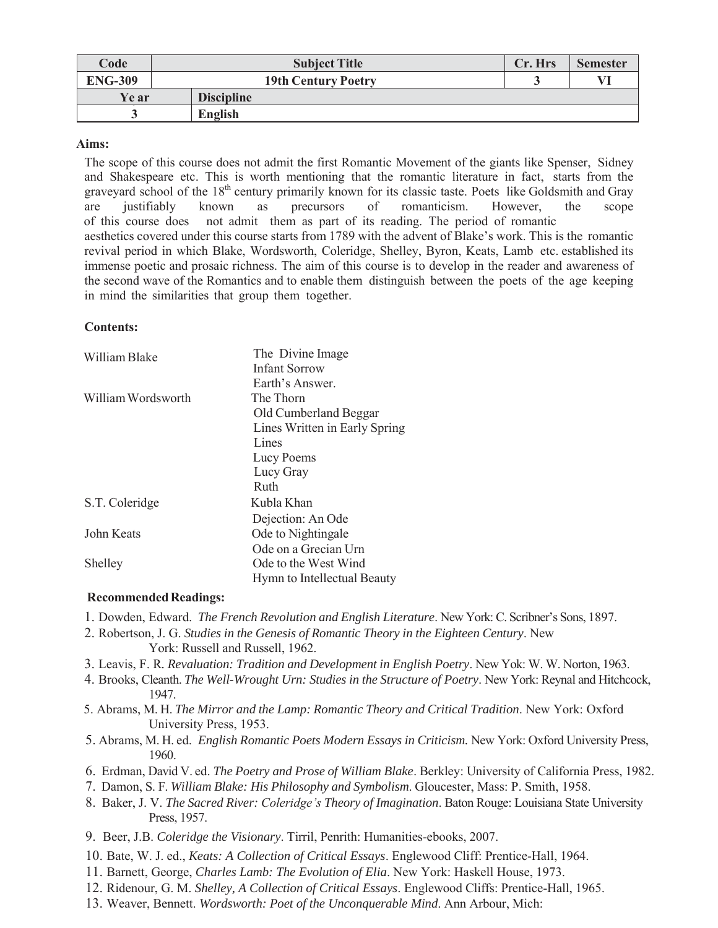| Code           | <b>Subject Title</b>       | Cr. Hrs | <b>Semester</b> |
|----------------|----------------------------|---------|-----------------|
| <b>ENG-309</b> | <b>19th Century Poetry</b> |         |                 |
| Ye ar          | <b>Discipline</b>          |         |                 |
|                | English                    |         |                 |

## **Aims:**

The scope of this course does not admit the first Romantic Movement of the giants like Spenser, Sidney and Shakespeare etc. This is worth mentioning that the romantic literature in fact, starts from the graveyard school of the 18<sup>th</sup> century primarily known for its classic taste. Poets like Goldsmith and Gray are justifiably known as precursors of romanticism. However, the scope of this course does not admit them as part of its reading. The period of romantic aesthetics covered under this course starts from 1789 with the advent of Blake's work. This is the romantic revival period in which Blake, Wordsworth, Coleridge, Shelley, Byron, Keats, Lamb etc. established its immense poetic and prosaic richness. The aim of this course is to develop in the reader and awareness of the second wave of the Romantics and to enable them distinguish between the poets of the age keeping in mind the similarities that group them together.

## **Contents:**

| William Blake      | The Divine Image              |  |
|--------------------|-------------------------------|--|
|                    | <b>Infant Sorrow</b>          |  |
|                    | Earth's Answer.               |  |
| William Wordsworth | The Thorn                     |  |
|                    | Old Cumberland Beggar         |  |
|                    | Lines Written in Early Spring |  |
|                    | Lines                         |  |
|                    | Lucy Poems                    |  |
|                    | Lucy Gray                     |  |
|                    | Ruth                          |  |
| S.T. Coleridge     | Kubla Khan                    |  |
|                    | Dejection: An Ode             |  |
| John Keats         | Ode to Nightingale            |  |
|                    | Ode on a Grecian Urn          |  |
| Shelley            | Ode to the West Wind          |  |
|                    | Hymn to Intellectual Beauty   |  |

## **Recommended Readings:**

- 1. Dowden, Edward. *The French Revolution and English Literature*. New York: C. Scribner's Sons, 1897.
- 2. Robertson, J. G. *Studies in the Genesis of Romantic Theory in the Eighteen Century*. New York: Russell and Russell, 1962.
- 3. Leavis, F. R*. Revaluation: Tradition and Development in English Poetry*. New Yok: W. W. Norton, 1963.
- 4. Brooks, Cleanth. *The Well-Wrought Urn: Studies in the Structure of Poetry*. New York: Reynal and Hitchcock, 1947.
- 5. Abrams, M. H. *The Mirror and the Lamp: Romantic Theory and Critical Tradition*. New York: Oxford University Press, 1953.
- 5. Abrams, M. H. ed. *English Romantic Poets Modern Essays in Criticism.* New York: Oxford University Press, 1960.
- 6. Erdman, David V. ed. *The Poetry and Prose of William Blake*. Berkley: University of California Press, 1982.
- 7. Damon, S. F. *William Blake: His Philosophy and Symbolism*. Gloucester, Mass: P. Smith, 1958.
- 8. Baker, J. V. *The Sacred River: Coleridge's Theory of Imagination*. Baton Rouge: Louisiana State University Press, 1957.
- 9. Beer, J.B. *Coleridge the Visionary*. Tirril, Penrith: Humanities-ebooks, 2007.
- 10. Bate, W. J. ed., *Keats: A Collection of Critical Essays*. Englewood Cliff: Prentice-Hall, 1964.
- 11. Barnett, George, *Charles Lamb: The Evolution of Elia*. New York: Haskell House, 1973.
- 12. Ridenour, G. M. *Shelley, A Collection of Critical Essays*. Englewood Cliffs: Prentice-Hall, 1965.
- 13. Weaver, Bennett. *Wordsworth: Poet of the Unconquerable Mind*. Ann Arbour, Mich: